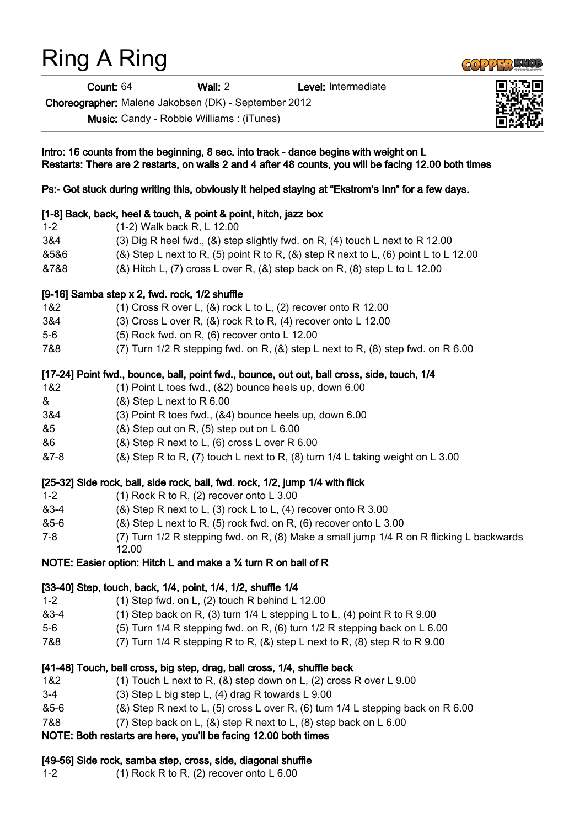## Ring A Ring

Count: 64 Wall: 2 Level: Intermediate

Choreographer: Malene Jakobsen (DK) - September 2012

1-2 (1) Rock R to R, (2) recover onto L 6.00

Music: Candy - Robbie Williams : (iTunes)